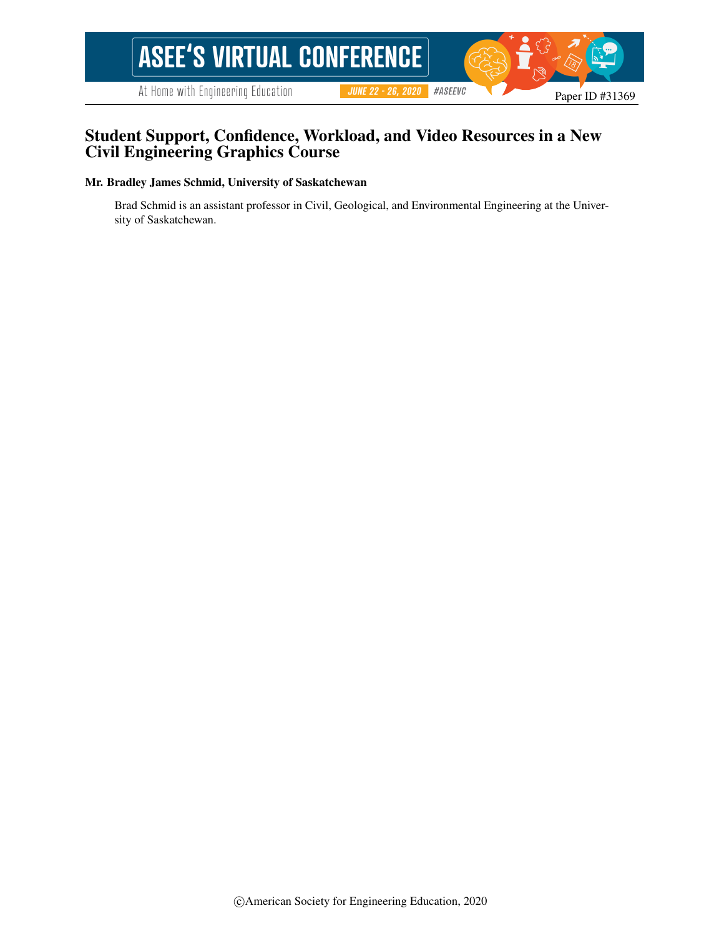# **ASEE'S VIRTUAL CONFERENCE**

At Home with Engineering Education

**JUNE 22 - 26, 2020 #ASEEVG** 

## Student Support, Confidence, Workload, and Video Resources in a New Civil Engineering Graphics Course

#### Mr. Bradley James Schmid, University of Saskatchewan

Brad Schmid is an assistant professor in Civil, Geological, and Environmental Engineering at the University of Saskatchewan.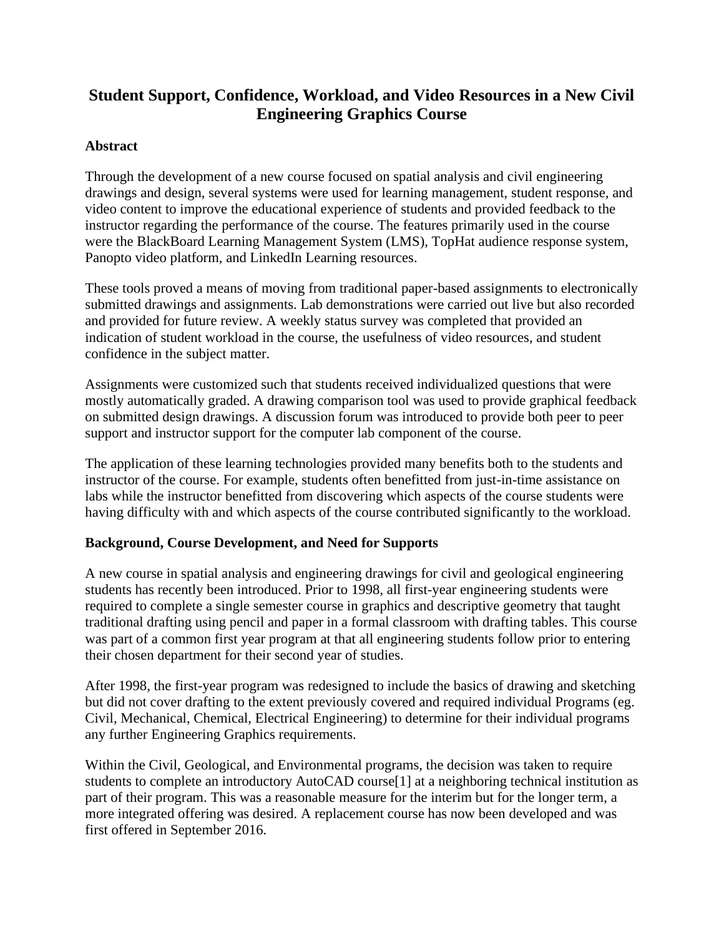## **Student Support, Confidence, Workload, and Video Resources in a New Civil Engineering Graphics Course**

## **Abstract**

Through the development of a new course focused on spatial analysis and civil engineering drawings and design, several systems were used for learning management, student response, and video content to improve the educational experience of students and provided feedback to the instructor regarding the performance of the course. The features primarily used in the course were the BlackBoard Learning Management System (LMS), TopHat audience response system, Panopto video platform, and LinkedIn Learning resources.

These tools proved a means of moving from traditional paper-based assignments to electronically submitted drawings and assignments. Lab demonstrations were carried out live but also recorded and provided for future review. A weekly status survey was completed that provided an indication of student workload in the course, the usefulness of video resources, and student confidence in the subject matter.

Assignments were customized such that students received individualized questions that were mostly automatically graded. A drawing comparison tool was used to provide graphical feedback on submitted design drawings. A discussion forum was introduced to provide both peer to peer support and instructor support for the computer lab component of the course.

The application of these learning technologies provided many benefits both to the students and instructor of the course. For example, students often benefitted from just-in-time assistance on labs while the instructor benefitted from discovering which aspects of the course students were having difficulty with and which aspects of the course contributed significantly to the workload.

## **Background, Course Development, and Need for Supports**

A new course in spatial analysis and engineering drawings for civil and geological engineering students has recently been introduced. Prior to 1998, all first-year engineering students were required to complete a single semester course in graphics and descriptive geometry that taught traditional drafting using pencil and paper in a formal classroom with drafting tables. This course was part of a common first year program at that all engineering students follow prior to entering their chosen department for their second year of studies.

After 1998, the first-year program was redesigned to include the basics of drawing and sketching but did not cover drafting to the extent previously covered and required individual Programs (eg. Civil, Mechanical, Chemical, Electrical Engineering) to determine for their individual programs any further Engineering Graphics requirements.

Within the Civil, Geological, and Environmental programs, the decision was taken to require students to complete an introductory AutoCAD course[1] at a neighboring technical institution as part of their program. This was a reasonable measure for the interim but for the longer term, a more integrated offering was desired. A replacement course has now been developed and was first offered in September 2016.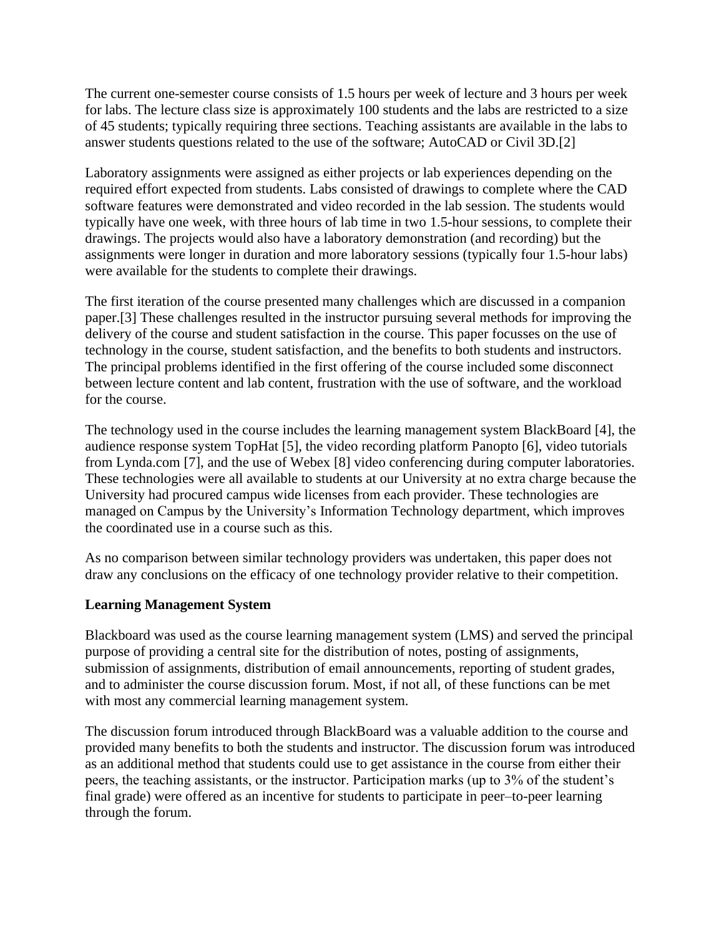The current one-semester course consists of 1.5 hours per week of lecture and 3 hours per week for labs. The lecture class size is approximately 100 students and the labs are restricted to a size of 45 students; typically requiring three sections. Teaching assistants are available in the labs to answer students questions related to the use of the software; AutoCAD or Civil 3D.[2]

Laboratory assignments were assigned as either projects or lab experiences depending on the required effort expected from students. Labs consisted of drawings to complete where the CAD software features were demonstrated and video recorded in the lab session. The students would typically have one week, with three hours of lab time in two 1.5-hour sessions, to complete their drawings. The projects would also have a laboratory demonstration (and recording) but the assignments were longer in duration and more laboratory sessions (typically four 1.5-hour labs) were available for the students to complete their drawings.

The first iteration of the course presented many challenges which are discussed in a companion paper.[3] These challenges resulted in the instructor pursuing several methods for improving the delivery of the course and student satisfaction in the course. This paper focusses on the use of technology in the course, student satisfaction, and the benefits to both students and instructors. The principal problems identified in the first offering of the course included some disconnect between lecture content and lab content, frustration with the use of software, and the workload for the course.

The technology used in the course includes the learning management system BlackBoard [4], the audience response system TopHat [5], the video recording platform Panopto [6], video tutorials from Lynda.com [7], and the use of Webex [8] video conferencing during computer laboratories. These technologies were all available to students at our University at no extra charge because the University had procured campus wide licenses from each provider. These technologies are managed on Campus by the University's Information Technology department, which improves the coordinated use in a course such as this.

As no comparison between similar technology providers was undertaken, this paper does not draw any conclusions on the efficacy of one technology provider relative to their competition.

## **Learning Management System**

Blackboard was used as the course learning management system (LMS) and served the principal purpose of providing a central site for the distribution of notes, posting of assignments, submission of assignments, distribution of email announcements, reporting of student grades, and to administer the course discussion forum. Most, if not all, of these functions can be met with most any commercial learning management system.

The discussion forum introduced through BlackBoard was a valuable addition to the course and provided many benefits to both the students and instructor. The discussion forum was introduced as an additional method that students could use to get assistance in the course from either their peers, the teaching assistants, or the instructor. Participation marks (up to 3% of the student's final grade) were offered as an incentive for students to participate in peer–to-peer learning through the forum.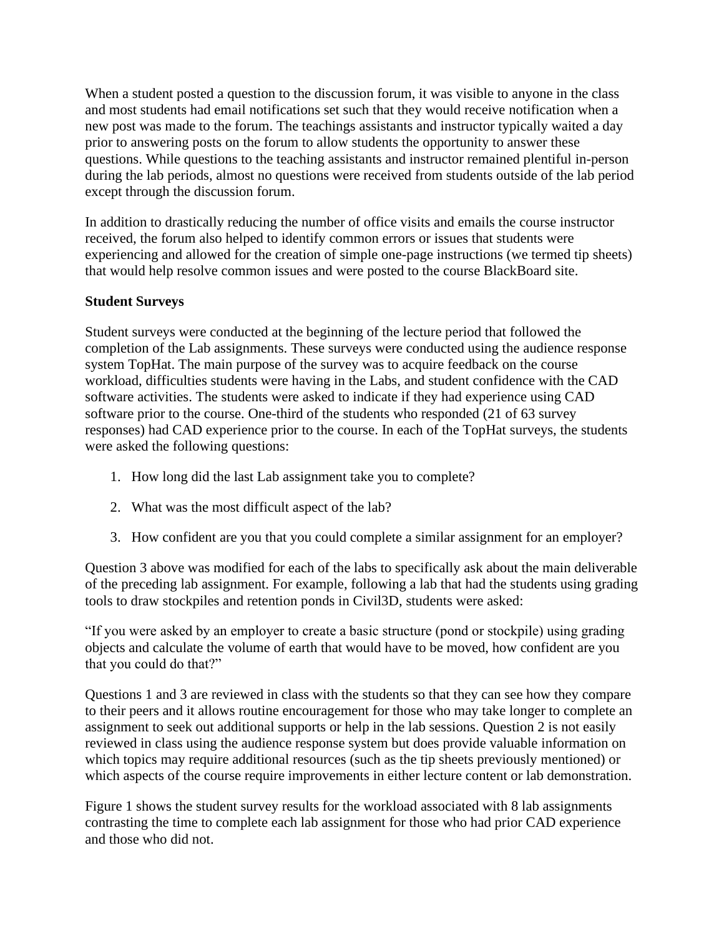When a student posted a question to the discussion forum, it was visible to anyone in the class and most students had email notifications set such that they would receive notification when a new post was made to the forum. The teachings assistants and instructor typically waited a day prior to answering posts on the forum to allow students the opportunity to answer these questions. While questions to the teaching assistants and instructor remained plentiful in-person during the lab periods, almost no questions were received from students outside of the lab period except through the discussion forum.

In addition to drastically reducing the number of office visits and emails the course instructor received, the forum also helped to identify common errors or issues that students were experiencing and allowed for the creation of simple one-page instructions (we termed tip sheets) that would help resolve common issues and were posted to the course BlackBoard site.

#### **Student Surveys**

Student surveys were conducted at the beginning of the lecture period that followed the completion of the Lab assignments. These surveys were conducted using the audience response system TopHat. The main purpose of the survey was to acquire feedback on the course workload, difficulties students were having in the Labs, and student confidence with the CAD software activities. The students were asked to indicate if they had experience using CAD software prior to the course. One-third of the students who responded (21 of 63 survey responses) had CAD experience prior to the course. In each of the TopHat surveys, the students were asked the following questions:

- 1. How long did the last Lab assignment take you to complete?
- 2. What was the most difficult aspect of the lab?
- 3. How confident are you that you could complete a similar assignment for an employer?

Question 3 above was modified for each of the labs to specifically ask about the main deliverable of the preceding lab assignment. For example, following a lab that had the students using grading tools to draw stockpiles and retention ponds in Civil3D, students were asked:

"If you were asked by an employer to create a basic structure (pond or stockpile) using grading objects and calculate the volume of earth that would have to be moved, how confident are you that you could do that?"

Questions 1 and 3 are reviewed in class with the students so that they can see how they compare to their peers and it allows routine encouragement for those who may take longer to complete an assignment to seek out additional supports or help in the lab sessions. Question 2 is not easily reviewed in class using the audience response system but does provide valuable information on which topics may require additional resources (such as the tip sheets previously mentioned) or which aspects of the course require improvements in either lecture content or lab demonstration.

Figure 1 shows the student survey results for the workload associated with 8 lab assignments contrasting the time to complete each lab assignment for those who had prior CAD experience and those who did not.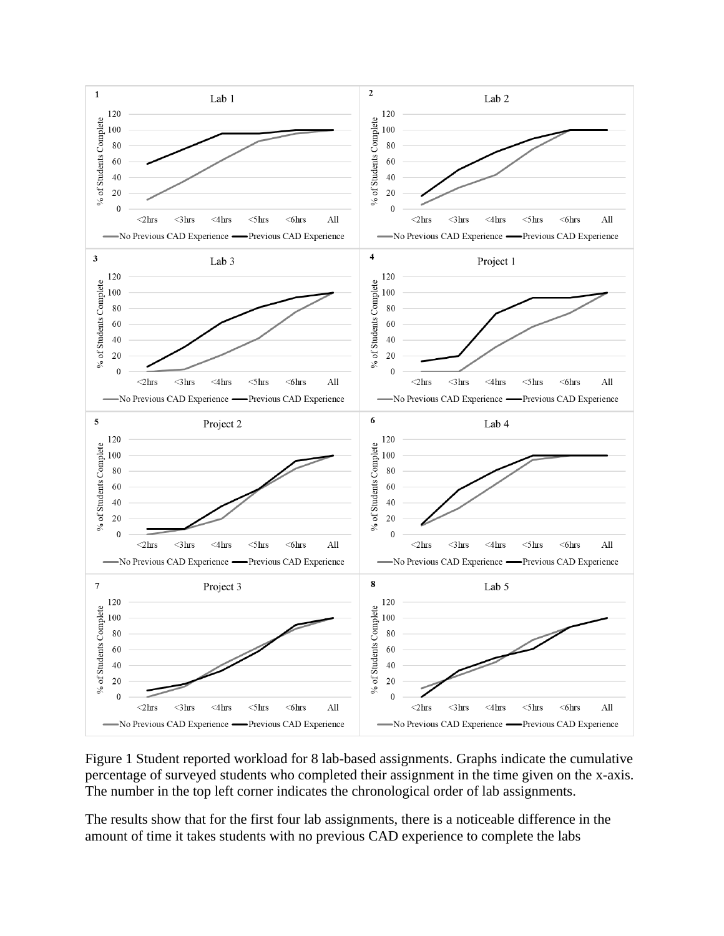

Figure 1 Student reported workload for 8 lab-based assignments. Graphs indicate the cumulative percentage of surveyed students who completed their assignment in the time given on the x-axis. The number in the top left corner indicates the chronological order of lab assignments.

The results show that for the first four lab assignments, there is a noticeable difference in the amount of time it takes students with no previous CAD experience to complete the labs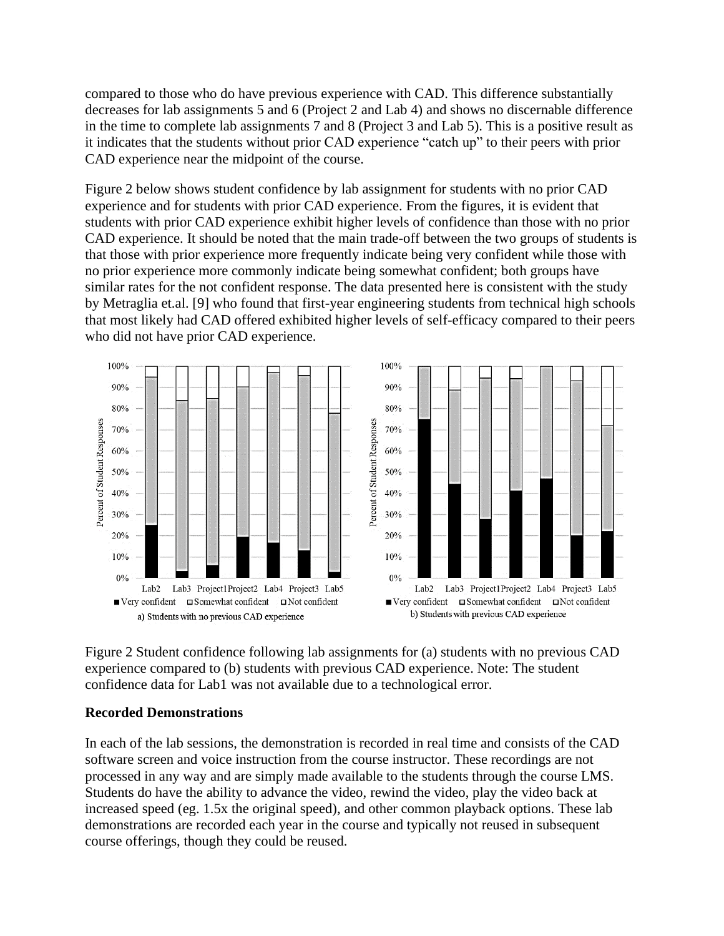compared to those who do have previous experience with CAD. This difference substantially decreases for lab assignments 5 and 6 (Project 2 and Lab 4) and shows no discernable difference in the time to complete lab assignments 7 and 8 (Project 3 and Lab 5). This is a positive result as it indicates that the students without prior CAD experience "catch up" to their peers with prior CAD experience near the midpoint of the course.

Figure 2 below shows student confidence by lab assignment for students with no prior CAD experience and for students with prior CAD experience. From the figures, it is evident that students with prior CAD experience exhibit higher levels of confidence than those with no prior CAD experience. It should be noted that the main trade-off between the two groups of students is that those with prior experience more frequently indicate being very confident while those with no prior experience more commonly indicate being somewhat confident; both groups have similar rates for the not confident response. The data presented here is consistent with the study by Metraglia et.al. [9] who found that first-year engineering students from technical high schools that most likely had CAD offered exhibited higher levels of self-efficacy compared to their peers who did not have prior CAD experience.



Figure 2 Student confidence following lab assignments for (a) students with no previous CAD experience compared to (b) students with previous CAD experience. Note: The student confidence data for Lab1 was not available due to a technological error.

#### **Recorded Demonstrations**

In each of the lab sessions, the demonstration is recorded in real time and consists of the CAD software screen and voice instruction from the course instructor. These recordings are not processed in any way and are simply made available to the students through the course LMS. Students do have the ability to advance the video, rewind the video, play the video back at increased speed (eg. 1.5x the original speed), and other common playback options. These lab demonstrations are recorded each year in the course and typically not reused in subsequent course offerings, though they could be reused.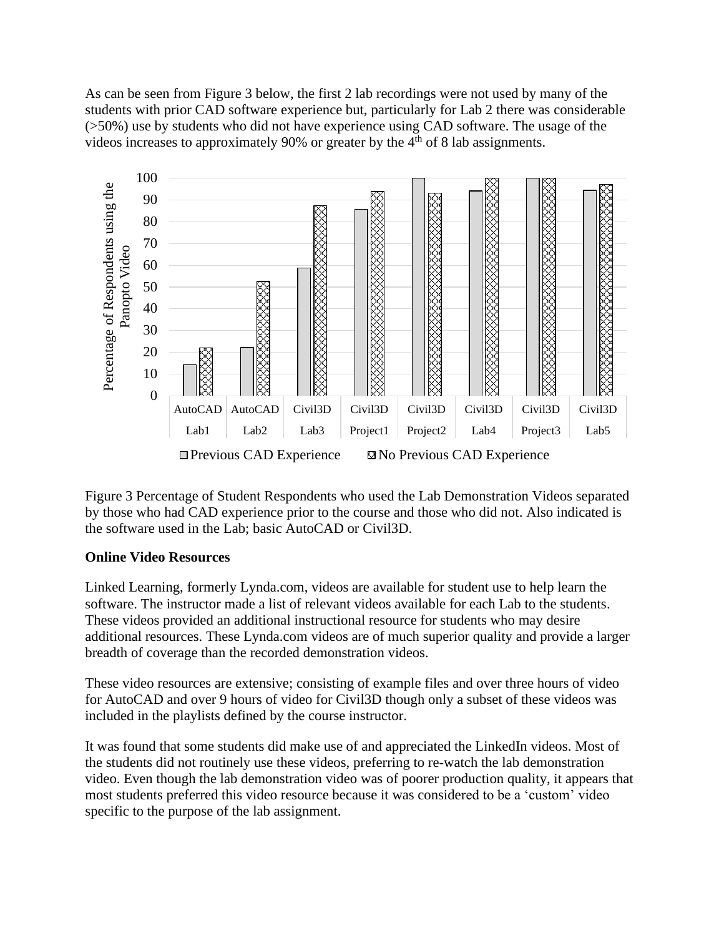As can be seen from Figure 3 below, the first 2 lab recordings were not used by many of the students with prior CAD software experience but, particularly for Lab 2 there was considerable (>50%) use by students who did not have experience using CAD software. The usage of the videos increases to approximately 90% or greater by the  $4<sup>th</sup>$  of 8 lab assignments.



Figure 3 Percentage of Student Respondents who used the Lab Demonstration Videos separated by those who had CAD experience prior to the course and those who did not. Also indicated is the software used in the Lab; basic AutoCAD or Civil3D.

#### **Online Video Resources**

Linked Learning, formerly Lynda.com, videos are available for student use to help learn the software. The instructor made a list of relevant videos available for each Lab to the students. These videos provided an additional instructional resource for students who may desire additional resources. These Lynda.com videos are of much superior quality and provide a larger breadth of coverage than the recorded demonstration videos.

These video resources are extensive; consisting of example files and over three hours of video for AutoCAD and over 9 hours of video for Civil3D though only a subset of these videos was included in the playlists defined by the course instructor.

It was found that some students did make use of and appreciated the LinkedIn videos. Most of the students did not routinely use these videos, preferring to re-watch the lab demonstration video. Even though the lab demonstration video was of poorer production quality, it appears that most students preferred this video resource because it was considered to be a 'custom' video specific to the purpose of the lab assignment.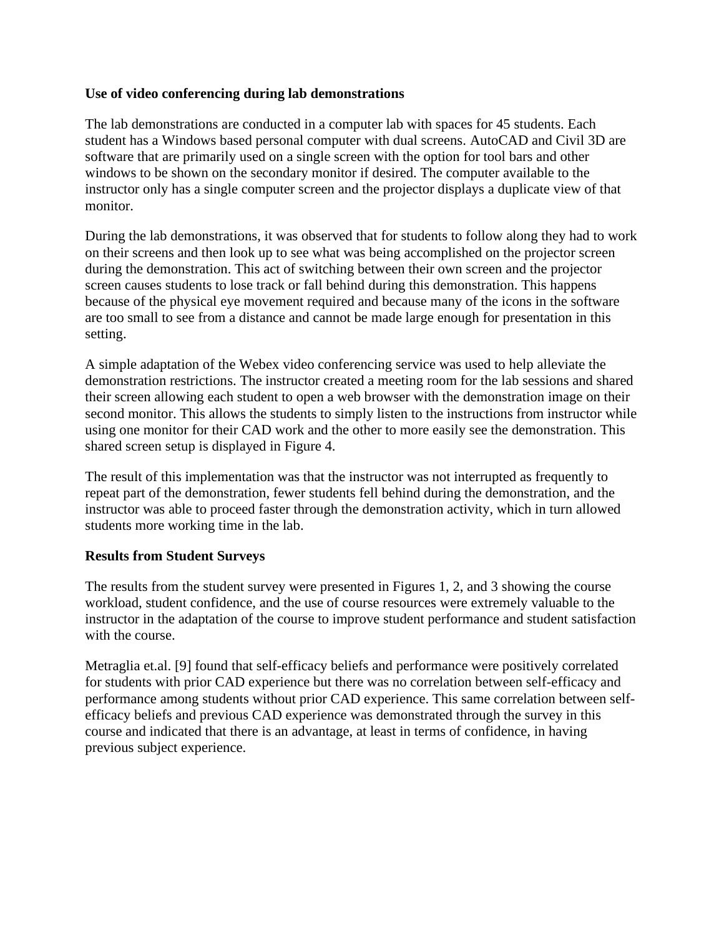## **Use of video conferencing during lab demonstrations**

The lab demonstrations are conducted in a computer lab with spaces for 45 students. Each student has a Windows based personal computer with dual screens. AutoCAD and Civil 3D are software that are primarily used on a single screen with the option for tool bars and other windows to be shown on the secondary monitor if desired. The computer available to the instructor only has a single computer screen and the projector displays a duplicate view of that monitor.

During the lab demonstrations, it was observed that for students to follow along they had to work on their screens and then look up to see what was being accomplished on the projector screen during the demonstration. This act of switching between their own screen and the projector screen causes students to lose track or fall behind during this demonstration. This happens because of the physical eye movement required and because many of the icons in the software are too small to see from a distance and cannot be made large enough for presentation in this setting.

A simple adaptation of the Webex video conferencing service was used to help alleviate the demonstration restrictions. The instructor created a meeting room for the lab sessions and shared their screen allowing each student to open a web browser with the demonstration image on their second monitor. This allows the students to simply listen to the instructions from instructor while using one monitor for their CAD work and the other to more easily see the demonstration. This shared screen setup is displayed in Figure 4.

The result of this implementation was that the instructor was not interrupted as frequently to repeat part of the demonstration, fewer students fell behind during the demonstration, and the instructor was able to proceed faster through the demonstration activity, which in turn allowed students more working time in the lab.

#### **Results from Student Surveys**

The results from the student survey were presented in Figures 1, 2, and 3 showing the course workload, student confidence, and the use of course resources were extremely valuable to the instructor in the adaptation of the course to improve student performance and student satisfaction with the course.

Metraglia et.al. [9] found that self-efficacy beliefs and performance were positively correlated for students with prior CAD experience but there was no correlation between self-efficacy and performance among students without prior CAD experience. This same correlation between selfefficacy beliefs and previous CAD experience was demonstrated through the survey in this course and indicated that there is an advantage, at least in terms of confidence, in having previous subject experience.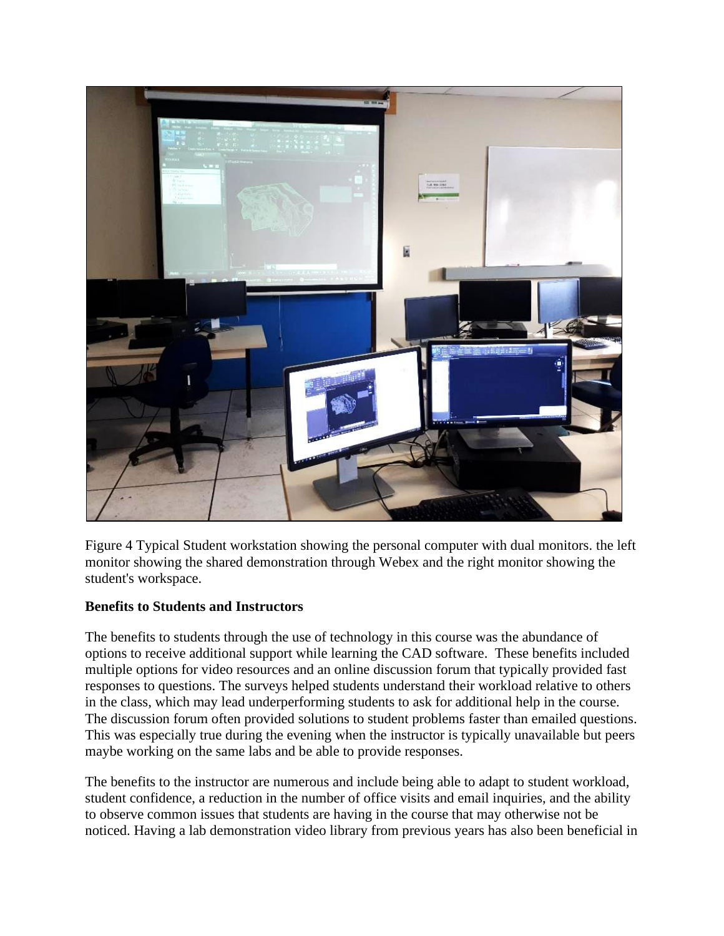

Figure 4 Typical Student workstation showing the personal computer with dual monitors. the left monitor showing the shared demonstration through Webex and the right monitor showing the student's workspace.

## **Benefits to Students and Instructors**

The benefits to students through the use of technology in this course was the abundance of options to receive additional support while learning the CAD software. These benefits included multiple options for video resources and an online discussion forum that typically provided fast responses to questions. The surveys helped students understand their workload relative to others in the class, which may lead underperforming students to ask for additional help in the course. The discussion forum often provided solutions to student problems faster than emailed questions. This was especially true during the evening when the instructor is typically unavailable but peers maybe working on the same labs and be able to provide responses.

The benefits to the instructor are numerous and include being able to adapt to student workload, student confidence, a reduction in the number of office visits and email inquiries, and the ability to observe common issues that students are having in the course that may otherwise not be noticed. Having a lab demonstration video library from previous years has also been beneficial in